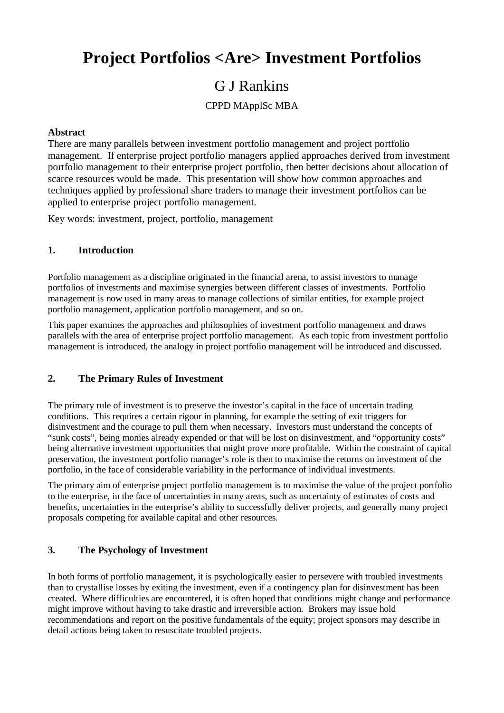# **Project Portfolios <Are> Investment Portfolios**

# G J Rankins

# CPPD MApplSc MBA

# **Abstract**

There are many parallels between investment portfolio management and project portfolio management. If enterprise project portfolio managers applied approaches derived from investment portfolio management to their enterprise project portfolio, then better decisions about allocation of scarce resources would be made. This presentation will show how common approaches and techniques applied by professional share traders to manage their investment portfolios can be applied to enterprise project portfolio management.

Key words: investment, project, portfolio, management

#### **1. Introduction**

Portfolio management as a discipline originated in the financial arena, to assist investors to manage portfolios of investments and maximise synergies between different classes of investments. Portfolio management is now used in many areas to manage collections of similar entities, for example project portfolio management, application portfolio management, and so on.

This paper examines the approaches and philosophies of investment portfolio management and draws parallels with the area of enterprise project portfolio management. As each topic from investment portfolio management is introduced, the analogy in project portfolio management will be introduced and discussed.

# **2. The Primary Rules of Investment**

The primary rule of investment is to preserve the investor's capital in the face of uncertain trading conditions. This requires a certain rigour in planning, for example the setting of exit triggers for disinvestment and the courage to pull them when necessary. Investors must understand the concepts of "sunk costs", being monies already expended or that will be lost on disinvestment, and "opportunity costs" being alternative investment opportunities that might prove more profitable. Within the constraint of capital preservation, the investment portfolio manager's role is then to maximise the returns on investment of the portfolio, in the face of considerable variability in the performance of individual investments.

The primary aim of enterprise project portfolio management is to maximise the value of the project portfolio to the enterprise, in the face of uncertainties in many areas, such as uncertainty of estimates of costs and benefits, uncertainties in the enterprise's ability to successfully deliver projects, and generally many project proposals competing for available capital and other resources.

#### **3. The Psychology of Investment**

In both forms of portfolio management, it is psychologically easier to persevere with troubled investments than to crystallise losses by exiting the investment, even if a contingency plan for disinvestment has been created. Where difficulties are encountered, it is often hoped that conditions might change and performance might improve without having to take drastic and irreversible action. Brokers may issue hold recommendations and report on the positive fundamentals of the equity; project sponsors may describe in detail actions being taken to resuscitate troubled projects.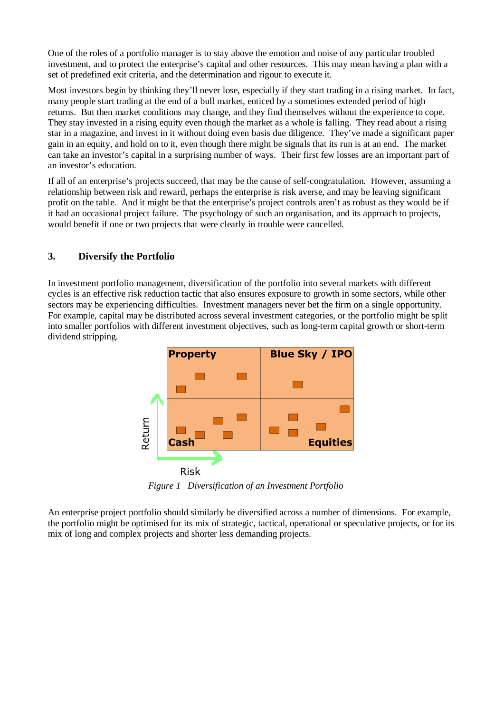One of the roles of a portfolio manager is to stay above the emotion and noise of any particular troubled investment, and to protect the enterprise's capital and other resources. This may mean having a plan with a set of predefined exit criteria, and the determination and rigour to execute it.

Most investors begin by thinking they'll never lose, especially if they start trading in a rising market. In fact, many people start trading at the end of a bull market, enticed by a sometimes extended period of high returns. But then market conditions may change, and they find themselves without the experience to cope. They stay invested in a rising equity even though the market as a whole is falling. They read about a rising star in a magazine, and invest in it without doing even basis due diligence. They've made a significant paper gain in an equity, and hold on to it, even though there might be signals that its run is at an end. The market can take an investor's capital in a surprising number of ways. Their first few losses are an important part of an investor's education.

If all of an enterprise's projects succeed, that may be the cause of self-congratulation. However, assuming a relationship between risk and reward, perhaps the enterprise is risk averse, and may be leaving significant profit on the table. And it might be that the enterprise's project controls aren't as robust as they would be if it had an occasional project failure. The psychology of such an organisation, and its approach to projects, would benefit if one or two projects that were clearly in trouble were cancelled.

# **3. Diversify the Portfolio**

In investment portfolio management, diversification of the portfolio into several markets with different cycles is an effective risk reduction tactic that also ensures exposure to growth in some sectors, while other sectors may be experiencing difficulties. Investment managers never bet the firm on a single opportunity. For example, capital may be distributed across several investment categories, or the portfolio might be split into smaller portfolios with different investment objectives, such as long-term capital growth or short-term dividend stripping.



*Figure 1 Diversification of an Investment Portfolio* 

An enterprise project portfolio should similarly be diversified across a number of dimensions. For example, the portfolio might be optimised for its mix of strategic, tactical, operational or speculative projects, or for its mix of long and complex projects and shorter less demanding projects.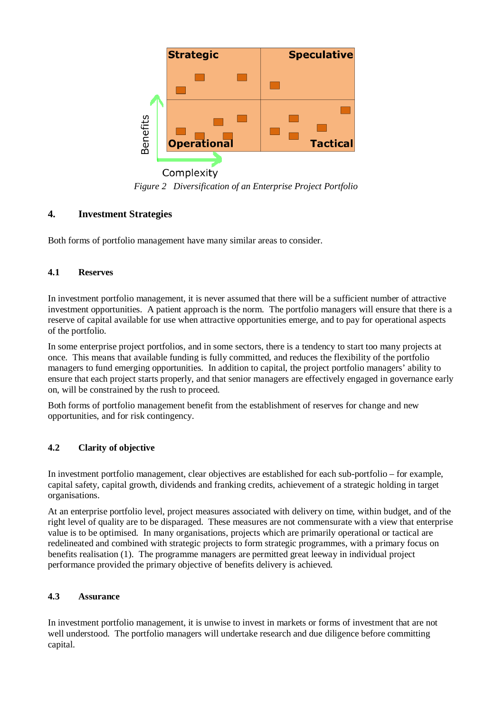

*Figure 2 Diversification of an Enterprise Project Portfolio* 

# **4. Investment Strategies**

Both forms of portfolio management have many similar areas to consider.

#### **4.1 Reserves**

In investment portfolio management, it is never assumed that there will be a sufficient number of attractive investment opportunities. A patient approach is the norm. The portfolio managers will ensure that there is a reserve of capital available for use when attractive opportunities emerge, and to pay for operational aspects of the portfolio.

In some enterprise project portfolios, and in some sectors, there is a tendency to start too many projects at once. This means that available funding is fully committed, and reduces the flexibility of the portfolio managers to fund emerging opportunities. In addition to capital, the project portfolio managers' ability to ensure that each project starts properly, and that senior managers are effectively engaged in governance early on, will be constrained by the rush to proceed.

Both forms of portfolio management benefit from the establishment of reserves for change and new opportunities, and for risk contingency.

# **4.2 Clarity of objective**

In investment portfolio management, clear objectives are established for each sub-portfolio – for example, capital safety, capital growth, dividends and franking credits, achievement of a strategic holding in target organisations.

At an enterprise portfolio level, project measures associated with delivery on time, within budget, and of the right level of quality are to be disparaged. These measures are not commensurate with a view that enterprise value is to be optimised. In many organisations, projects which are primarily operational or tactical are redelineated and combined with strategic projects to form strategic programmes, with a primary focus on benefits realisation (1). The programme managers are permitted great leeway in individual project performance provided the primary objective of benefits delivery is achieved.

#### **4.3 Assurance**

In investment portfolio management, it is unwise to invest in markets or forms of investment that are not well understood. The portfolio managers will undertake research and due diligence before committing capital.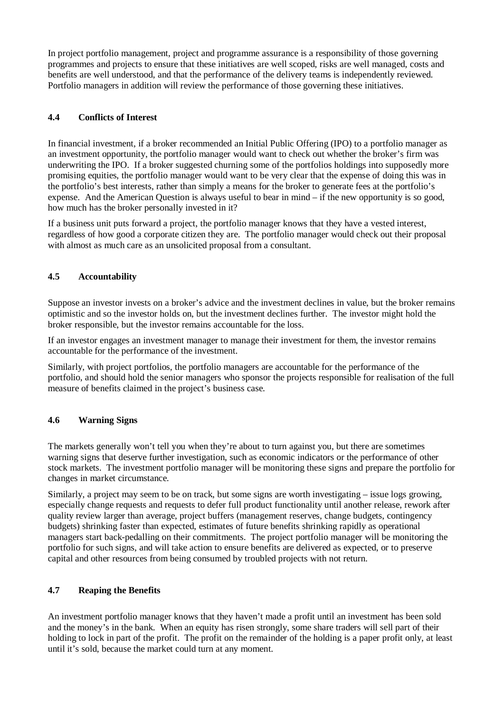In project portfolio management, project and programme assurance is a responsibility of those governing programmes and projects to ensure that these initiatives are well scoped, risks are well managed, costs and benefits are well understood, and that the performance of the delivery teams is independently reviewed. Portfolio managers in addition will review the performance of those governing these initiatives.

## **4.4 Conflicts of Interest**

In financial investment, if a broker recommended an Initial Public Offering (IPO) to a portfolio manager as an investment opportunity, the portfolio manager would want to check out whether the broker's firm was underwriting the IPO. If a broker suggested churning some of the portfolios holdings into supposedly more promising equities, the portfolio manager would want to be very clear that the expense of doing this was in the portfolio's best interests, rather than simply a means for the broker to generate fees at the portfolio's expense. And the American Question is always useful to bear in mind – if the new opportunity is so good, how much has the broker personally invested in it?

If a business unit puts forward a project, the portfolio manager knows that they have a vested interest, regardless of how good a corporate citizen they are. The portfolio manager would check out their proposal with almost as much care as an unsolicited proposal from a consultant.

#### **4.5 Accountability**

Suppose an investor invests on a broker's advice and the investment declines in value, but the broker remains optimistic and so the investor holds on, but the investment declines further. The investor might hold the broker responsible, but the investor remains accountable for the loss.

If an investor engages an investment manager to manage their investment for them, the investor remains accountable for the performance of the investment.

Similarly, with project portfolios, the portfolio managers are accountable for the performance of the portfolio, and should hold the senior managers who sponsor the projects responsible for realisation of the full measure of benefits claimed in the project's business case.

#### **4.6 Warning Signs**

The markets generally won't tell you when they're about to turn against you, but there are sometimes warning signs that deserve further investigation, such as economic indicators or the performance of other stock markets. The investment portfolio manager will be monitoring these signs and prepare the portfolio for changes in market circumstance.

Similarly, a project may seem to be on track, but some signs are worth investigating – issue logs growing, especially change requests and requests to defer full product functionality until another release, rework after quality review larger than average, project buffers (management reserves, change budgets, contingency budgets) shrinking faster than expected, estimates of future benefits shrinking rapidly as operational managers start back-pedalling on their commitments. The project portfolio manager will be monitoring the portfolio for such signs, and will take action to ensure benefits are delivered as expected, or to preserve capital and other resources from being consumed by troubled projects with not return.

#### **4.7 Reaping the Benefits**

An investment portfolio manager knows that they haven't made a profit until an investment has been sold and the money's in the bank. When an equity has risen strongly, some share traders will sell part of their holding to lock in part of the profit. The profit on the remainder of the holding is a paper profit only, at least until it's sold, because the market could turn at any moment.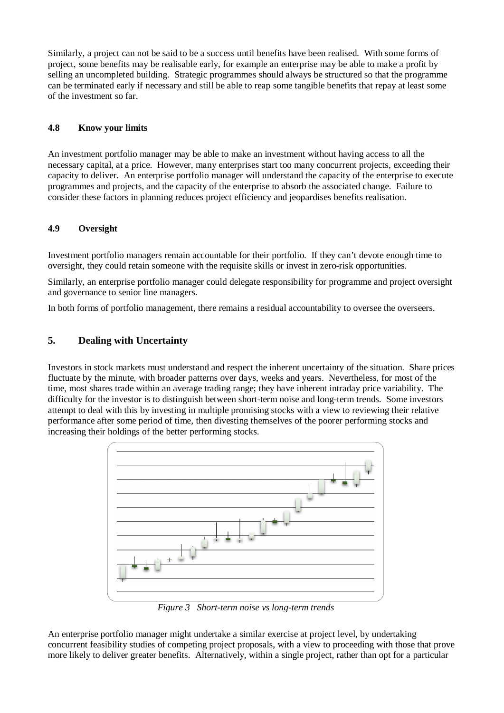Similarly, a project can not be said to be a success until benefits have been realised. With some forms of project, some benefits may be realisable early, for example an enterprise may be able to make a profit by selling an uncompleted building. Strategic programmes should always be structured so that the programme can be terminated early if necessary and still be able to reap some tangible benefits that repay at least some of the investment so far.

#### **4.8 Know your limits**

An investment portfolio manager may be able to make an investment without having access to all the necessary capital, at a price. However, many enterprises start too many concurrent projects, exceeding their capacity to deliver. An enterprise portfolio manager will understand the capacity of the enterprise to execute programmes and projects, and the capacity of the enterprise to absorb the associated change. Failure to consider these factors in planning reduces project efficiency and jeopardises benefits realisation.

#### **4.9 Oversight**

Investment portfolio managers remain accountable for their portfolio. If they can't devote enough time to oversight, they could retain someone with the requisite skills or invest in zero-risk opportunities.

Similarly, an enterprise portfolio manager could delegate responsibility for programme and project oversight and governance to senior line managers.

In both forms of portfolio management, there remains a residual accountability to oversee the overseers.

#### **5. Dealing with Uncertainty**

Investors in stock markets must understand and respect the inherent uncertainty of the situation. Share prices fluctuate by the minute, with broader patterns over days, weeks and years. Nevertheless, for most of the time, most shares trade within an average trading range; they have inherent intraday price variability. The difficulty for the investor is to distinguish between short-term noise and long-term trends. Some investors attempt to deal with this by investing in multiple promising stocks with a view to reviewing their relative performance after some period of time, then divesting themselves of the poorer performing stocks and increasing their holdings of the better performing stocks.



*Figure 3 Short-term noise vs long-term trends* 

An enterprise portfolio manager might undertake a similar exercise at project level, by undertaking concurrent feasibility studies of competing project proposals, with a view to proceeding with those that prove more likely to deliver greater benefits. Alternatively, within a single project, rather than opt for a particular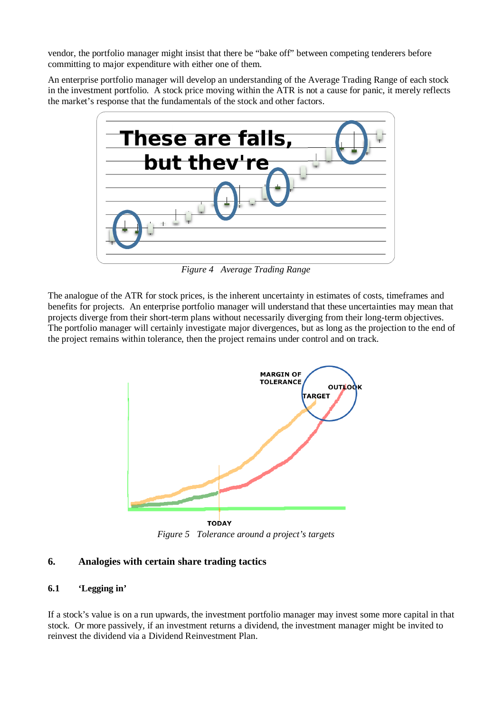vendor, the portfolio manager might insist that there be "bake off" between competing tenderers before committing to major expenditure with either one of them.

An enterprise portfolio manager will develop an understanding of the Average Trading Range of each stock in the investment portfolio. A stock price moving within the ATR is not a cause for panic, it merely reflects the market's response that the fundamentals of the stock and other factors.



*Figure 4 Average Trading Range* 

The analogue of the ATR for stock prices, is the inherent uncertainty in estimates of costs, timeframes and benefits for projects. An enterprise portfolio manager will understand that these uncertainties may mean that projects diverge from their short-term plans without necessarily diverging from their long-term objectives. The portfolio manager will certainly investigate major divergences, but as long as the projection to the end of the project remains within tolerance, then the project remains under control and on track.



*Figure 5 Tolerance around a project's targets* 

# **6. Analogies with certain share trading tactics**

# **6.1 'Legging in'**

If a stock's value is on a run upwards, the investment portfolio manager may invest some more capital in that stock. Or more passively, if an investment returns a dividend, the investment manager might be invited to reinvest the dividend via a Dividend Reinvestment Plan.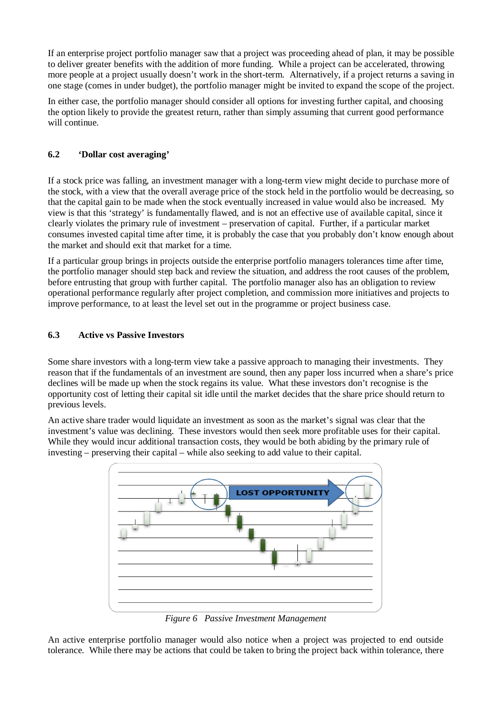If an enterprise project portfolio manager saw that a project was proceeding ahead of plan, it may be possible to deliver greater benefits with the addition of more funding. While a project can be accelerated, throwing more people at a project usually doesn't work in the short-term. Alternatively, if a project returns a saving in one stage (comes in under budget), the portfolio manager might be invited to expand the scope of the project.

In either case, the portfolio manager should consider all options for investing further capital, and choosing the option likely to provide the greatest return, rather than simply assuming that current good performance will continue.

#### **6.2 'Dollar cost averaging'**

If a stock price was falling, an investment manager with a long-term view might decide to purchase more of the stock, with a view that the overall average price of the stock held in the portfolio would be decreasing, so that the capital gain to be made when the stock eventually increased in value would also be increased. My view is that this 'strategy' is fundamentally flawed, and is not an effective use of available capital, since it clearly violates the primary rule of investment – preservation of capital. Further, if a particular market consumes invested capital time after time, it is probably the case that you probably don't know enough about the market and should exit that market for a time.

If a particular group brings in projects outside the enterprise portfolio managers tolerances time after time, the portfolio manager should step back and review the situation, and address the root causes of the problem, before entrusting that group with further capital. The portfolio manager also has an obligation to review operational performance regularly after project completion, and commission more initiatives and projects to improve performance, to at least the level set out in the programme or project business case.

#### **6.3 Active vs Passive Investors**

Some share investors with a long-term view take a passive approach to managing their investments. They reason that if the fundamentals of an investment are sound, then any paper loss incurred when a share's price declines will be made up when the stock regains its value. What these investors don't recognise is the opportunity cost of letting their capital sit idle until the market decides that the share price should return to previous levels.

An active share trader would liquidate an investment as soon as the market's signal was clear that the investment's value was declining. These investors would then seek more profitable uses for their capital. While they would incur additional transaction costs, they would be both abiding by the primary rule of investing – preserving their capital – while also seeking to add value to their capital.



*Figure 6 Passive Investment Management* 

An active enterprise portfolio manager would also notice when a project was projected to end outside tolerance. While there may be actions that could be taken to bring the project back within tolerance, there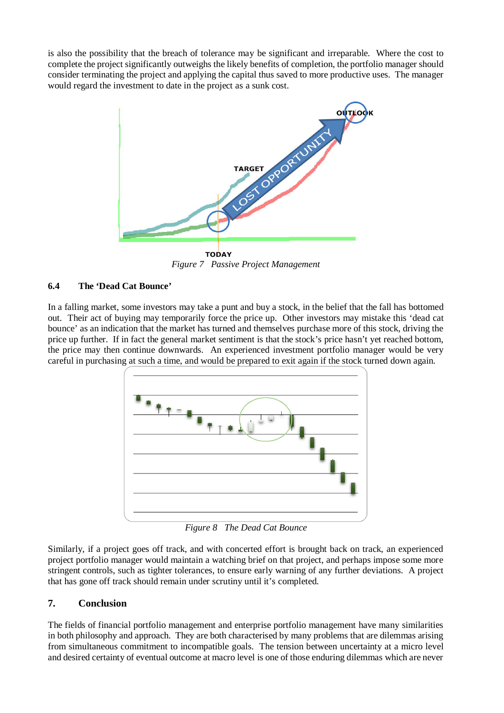is also the possibility that the breach of tolerance may be significant and irreparable. Where the cost to complete the project significantly outweighs the likely benefits of completion, the portfolio manager should consider terminating the project and applying the capital thus saved to more productive uses. The manager would regard the investment to date in the project as a sunk cost.



*Figure 7 Passive Project Management* 

#### **6.4 The 'Dead Cat Bounce'**

In a falling market, some investors may take a punt and buy a stock, in the belief that the fall has bottomed out. Their act of buying may temporarily force the price up. Other investors may mistake this 'dead cat bounce' as an indication that the market has turned and themselves purchase more of this stock, driving the price up further. If in fact the general market sentiment is that the stock's price hasn't yet reached bottom, the price may then continue downwards. An experienced investment portfolio manager would be very careful in purchasing at such a time, and would be prepared to exit again if the stock turned down again.



*Figure 8 The Dead Cat Bounce* 

Similarly, if a project goes off track, and with concerted effort is brought back on track, an experienced project portfolio manager would maintain a watching brief on that project, and perhaps impose some more stringent controls, such as tighter tolerances, to ensure early warning of any further deviations. A project that has gone off track should remain under scrutiny until it's completed.

# **7. Conclusion**

The fields of financial portfolio management and enterprise portfolio management have many similarities in both philosophy and approach. They are both characterised by many problems that are dilemmas arising from simultaneous commitment to incompatible goals. The tension between uncertainty at a micro level and desired certainty of eventual outcome at macro level is one of those enduring dilemmas which are never